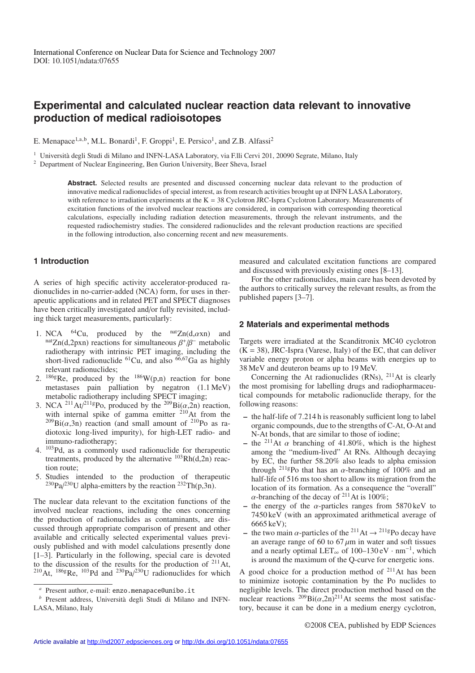# **Experimental and calculated nuclear reaction data relevant to innovative production of medical radioisotopes**

E. Menapace<sup>1,a,b</sup>, M.L. Bonardi<sup>1</sup>, F. Groppi<sup>1</sup>, E. Persico<sup>1</sup>, and Z.B. Alfassi<sup>2</sup>

<sup>1</sup> Università degli Studi di Milano and INFN-LASA Laboratory, via F.lli Cervi 201, 20090 Segrate, Milano, Italy

<sup>2</sup> Department of Nuclear Engineering, Ben Gurion University, Beer Sheva, Israel

**Abstract.** Selected results are presented and discussed concerning nuclear data relevant to the production of innovative medical radionuclides of special interest, as from research activities brought up at INFN LASA Laboratory, with reference to irradiation experiments at the  $K = 38$  Cyclotron JRC-Ispra Cyclotron Laboratory. Measurements of excitation functions of the involved nuclear reactions are considered, in comparison with corresponding theoretical calculations, especially including radiation detection measurements, through the relevant instruments, and the requested radiochemistry studies. The considered radionuclides and the relevant production reactions are specified in the following introduction, also concerning recent and new measurements.

## **1 Introduction**

A series of high specific activity accelerator-produced radionuclides in no-carrier-added (NCA) form, for uses in therapeutic applications and in related PET and SPECT diagnoses have been critically investigated and/or fully revisited, including thick target measurements, particularly:

- 1. NCA <sup>64</sup>Cu, produced by the <sup>nat</sup>Zn(d, $\alpha$ xn) and <sup>nat</sup>Zn(d,2pxn) reactions for simultaneous  $\beta^+/\beta^-$  metabolic radiotherapy with intrinsic PET imaging, including the short-lived radionuclide  ${}^{61}Cu$ , and also  ${}^{66,67}Ga$  as highly relevant radionuclides;
- 2.  $186g$ Re, produced by the  $186W(p,n)$  reaction for bone metastases pain palliation by negatron (1.1 MeV) metabolic radiotherapy including SPECT imaging;
- 3. NCA <sup>211</sup>At/<sup>211g</sup>Po, produced by the <sup>209</sup>Bi( $\alpha$ ,2n) reaction, with internal spike of gamma emitter  $210$ At from the  $^{209}Bi(\alpha,3n)$  reaction (and small amount of  $^{210}Po$  as radiotoxic long-lived impurity), for high-LET radio- and immuno-radiotherapy;
- 4. 103Pd, as a commonly used radionuclide for therapeutic treatments, produced by the alternative  $^{103}Rh(d,2n)$  reaction route;
- 5. Studies intended to the production of therapeutic  $^{230}Pa/^{230}U$  alpha-emitters by the reaction  $^{232}Th(p,3n)$ .

The nuclear data relevant to the excitation functions of the involved nuclear reactions, including the ones concerning the production of radionuclides as contaminants, are discussed through appropriate comparison of present and other available and critically selected experimental values previously published and with model calculations presently done [1–3]. Particularly in the following, special care is devoted to the discussion of the results for the production of  $211$  At, <sup>210</sup>At, <sup>186g</sup>Re, <sup>103</sup>Pd and <sup>230</sup>Pa $/$ <sup>230</sup>U radionuclides for which

measured and calculated excitation functions are compared and discussed with previously existing ones [8–13].

For the other radionuclides, main care has been devoted by the authors to critically survey the relevant results, as from the published papers [3–7].

#### **2 Materials and experimental methods**

Targets were irradiated at the Scanditronix MC40 cyclotron  $(K = 38)$ , JRC-Ispra (Varese, Italy) of the EC, that can deliver variable energy proton or alpha beams with energies up to 38 MeV and deuteron beams up to 19 MeV.

Concerning the At radionuclides  $(RNs)$ , <sup>211</sup>At is clearly the most promising for labelling drugs and radiopharmaceutical compounds for metabolic radionuclide therapy, for the following reasons:

- **–** the half-life of 7.214 h is reasonably sufficient long to label organic compounds, due to the strengths of C-At, O-At and N-At bonds, that are similar to those of iodine;
- the <sup>211</sup>At  $\alpha$  branching of 41.80%, which is the highest among the "medium-lived" At RNs. Although decaying by EC, the further 58.20% also leads to alpha emission through <sup>211g</sup>Po that has an  $\alpha$ -branching of 100% and an half-life of 516 ms too short to allow its migration from the location of its formation. As a consequence the "overall"  $\alpha$ -branching of the decay of <sup>211</sup>At is 100%;
- **–** the energy of the α-particles ranges from 5870 keV to 7450 keV (with an approximated arithmetical average of 6665 keV);
- the two main  $\alpha$ -particles of the <sup>211</sup>At  $\rightarrow$  <sup>211g</sup>Po decay have an average range of 60 to 67  $\mu$ m in water and soft tissues and a nearly optimal LET<sub>∞</sub> of 100–130 eV · nm<sup>-1</sup>, which is around the maximum of the Q-curve for energetic ions.

A good choice for a production method of  $^{211}$ At has been to minimize isotopic contamination by the Po nuclides to negligible levels. The direct production method based on the nuclear reactions  $^{209}$ Bi( $\alpha$ ,2n)<sup>211</sup>At seems the most satisfactory, because it can be done in a medium energy cyclotron,

*<sup>a</sup>* Present author, e-mail: enzo.menapace@unibo.it

*b* Present address, Università degli Studi di Milano and INFN-LASA, Milano, Italy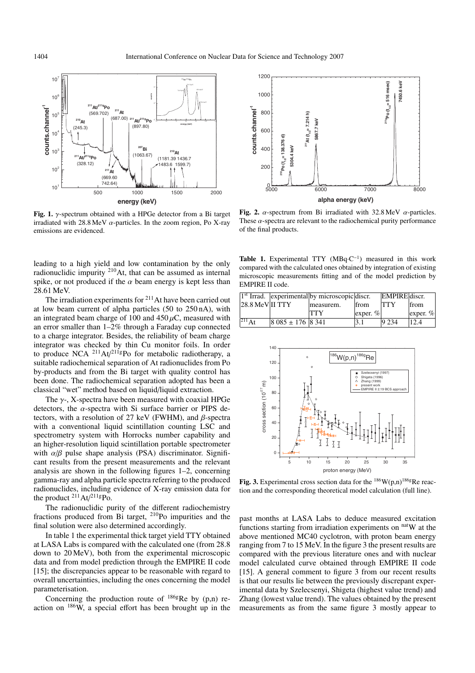

**Fig. 1.** γ-spectrum obtained with a HPGe detector from a Bi target irradiated with 28.8 MeV  $\alpha$ -particles. In the zoom region, Po X-ray emissions are evidenced.

leading to a high yield and low contamination by the only radionuclidic impurity <sup>210</sup>At, that can be assumed as internal spike, or not produced if the  $\alpha$  beam energy is kept less than 28.61 MeV.

The irradiation experiments for  $2^{11}$  At have been carried out at low beam current of alpha particles (50 to 250 nA), with an integrated beam charge of 100 and  $450 \mu C$ , measured with an error smaller than 1–2% through a Faraday cup connected to a charge integrator. Besides, the reliability of beam charge integrator was checked by thin Cu monitor foils. In order to produce NCA  $^{211}$ At/ $^{211}$ gPo for metabolic radiotherapy, a suitable radiochemical separation of At radionuclides from Po by-products and from the Bi target with quality control has been done. The radiochemical separation adopted has been a classical "wet" method based on liquid/liquid extraction.

The  $\gamma$ -, X-spectra have been measured with coaxial HPGe detectors, the  $\alpha$ -spectra with Si surface barrier or PIPS detectors, with a resolution of 27 keV (FWHM), and  $\beta$ -spectra with a conventional liquid scintillation counting LSC and spectrometry system with Horrocks number capability and an higher-resolution liquid scintillation portable spectrometer with  $\alpha/\beta$  pulse shape analysis (PSA) discriminator. Significant results from the present measurements and the relevant analysis are shown in the following figures 1–2, concerning gamma-ray and alpha particle spectra referring to the produced radionuclides, including evidence of X-ray emission data for the product  $^{211}$ At/ $^{211}$ gPo.

The radionuclidic purity of the different radiochemistry fractions produced from Bi target, 210Po impurities and the final solution were also determined accordingly.

In table 1 the experimental thick target yield TTY obtained at LASA Labs is compared with the calculated one (from 28.8 down to 20 MeV), both from the experimental microscopic data and from model prediction through the EMPIRE II code [15]; the discrepancies appear to be reasonable with regard to overall uncertainties, including the ones concerning the model parameterisation.

Concerning the production route of  $186g$ Re by (p,n) reaction on  $186W$ , a special effort has been brought up in the



**Fig. 2.** α-spectrum from Bi irradiated with 32.8 MeV α-particles. These  $\alpha$ -spectra are relevant to the radiochemical purity performance of the final products.

Table 1. Experimental TTY (MBq·C<sup>-1</sup>) measured in this work compared with the calculated ones obtained by integration of existing microscopic measurements fitting and of the model prediction by EMPIRE II code.

|                    |                      | $1st$ Irrad. experimental by microscopic discr. |                                    | EMPIRE discr. |             |
|--------------------|----------------------|-------------------------------------------------|------------------------------------|---------------|-------------|
| $28.8$ MeV III TTY |                      | measurem.                                       | from                               | <b>TTY</b>    | <b>from</b> |
|                    |                      | TTY                                             | $\left  \text{exper. } \% \right $ |               | exper. $%$  |
| $^{211}$ At        | $ 8085 \pm 176 8341$ |                                                 |                                    | 9.234         | 12.4        |



Fig. 3. Experimental cross section data for the  $186$ W(p,n)<sup>186g</sup>Re reaction and the corresponding theoretical model calculation (full line).

past months at LASA Labs to deduce measured excitation functions starting from irradiation experiments on  $n$ <sup>nat</sup>W at the above mentioned MC40 cyclotron, with proton beam energy ranging from 7 to 15 MeV. In the figure 3 the present results are compared with the previous literature ones and with nuclear model calculated curve obtained through EMPIRE II code [15]. A general comment to figure 3 from our recent results is that our results lie between the previously discrepant experimental data by Szelecsenyi, Shigeta (highest value trend) and Zhang (lowest value trend). The values obtained by the present measurements as from the same figure 3 mostly appear to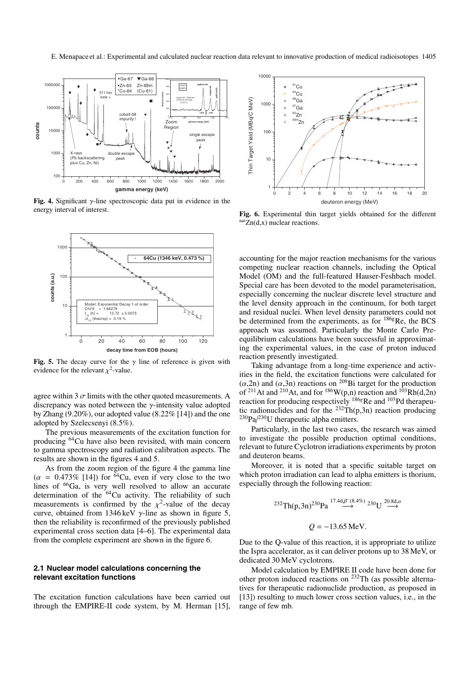

**Fig. 4.** Significant γ-line spectroscopic data put in evidence in the energy interval of interest.



**Fig. 5.** The decay curve for the  $\gamma$  line of reference is given with evidence for the relevant  $\chi^2$ -value.

agree within 3  $\sigma$  limits with the other quoted measurements. A discrepancy was noted between the  $\gamma$ -intensity value adopted by Zhang (9.20%), our adopted value (8.22% [14]) and the one adopted by Szelecsenyi (8.5%).

The previous measurements of the excitation function for producing 64Cu have also been revisited, with main concern to gamma spectroscopy and radiation calibration aspects. The results are shown in the figures 4 and 5.

As from the zoom region of the figure 4 the gamma line  $(\alpha = 0.473\%$  [14]) for <sup>64</sup>Cu, even if very close to the two lines of <sup>66</sup>Ga, is very well resolved to allow an accurate determination of the <sup>64</sup>Cu activity. The reliability of such measurements is confirmed by the  $\chi^2$ -value of the decay curve, obtained from 1346 keV  $\gamma$ -line as shown in figure 5, then the reliability is reconfirmed of the previously published experimental cross section data [4–6]. The experimental data from the complete experiment are shown in the figure 6.

#### **2.1 Nuclear model calculations concerning the relevant excitation functions**

The excitation function calculations have been carried out through the EMPIRE-II code system, by M. Herman [15],



**Fig. 6.** Experimental thin target yields obtained for the different  $natZn(d,x)$  nuclear reactions.

accounting for the major reaction mechanisms for the various competing nuclear reaction channels, including the Optical Model (OM) and the full-featured Hauser-Feshbach model. Special care has been devoted to the model parameterisation, especially concerning the nuclear discrete level structure and the level density approach in the continuum, for both target and residual nuclei. When level density parameters could not be determined from the experiments, as for  $^{186}$ gRe, the BCS approach was assumed. Particularly the Monte Carlo Preequilibrium calculations have been successful in approximating the experimental values, in the case of proton induced reaction presently investigated.

Taking advantage from a long-time experience and activities in the field, the excitation functions were calculated for ( $\alpha$ ,2n) and ( $\alpha$ ,3n) reactions on <sup>209</sup>Bi target for the production of <sup>211</sup>At and <sup>210</sup>At, and for <sup>186</sup>W(p,n) reaction and <sup>103</sup>Rh(d,2n) reaction for producing respectively <sup>186g</sup>Re and <sup>103</sup>Pd therapeutic radionuclides and for the  $^{232}Th(p,3n)$  reaction producing  $^{230}Pa/^{230}$ U therapeutic alpha emitters.

Particularly, in the last two cases, the research was aimed to investigate the possible production optimal conditions, relevant to future Cyclotron irradiations experiments by proton and deuteron beams.

Moreover, it is noted that a specific suitable target on which proton irradiation can lead to alpha emitters is thorium, especially through the following reaction:

<sup>232</sup>Th(p,3n)<sup>230</sup>Pa<sup>17.4d,β<sup>-</sup>(8.4%)</sup> <sup>230</sup>U<sup>20.8d,a</sup>  

$$
Q = -13.65
$$
 MeV.

Due to the Q-value of this reaction, it is appropriate to utilize the Ispra accelerator, as it can deliver protons up to 38 MeV, or dedicated 30 MeV cyclotrons.

Model calculation by EMPIRE II code have been done for other proton induced reactions on  $^{232}$ Th (as possible alternatives for therapeutic radionuclide production, as proposed in [13]) resulting to much lower cross section values, i.e., in the range of few mb.